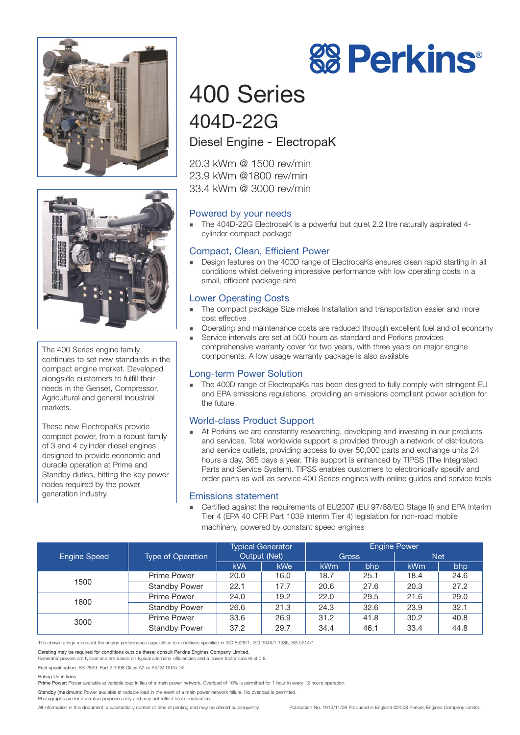



The 400 Series engine family continues to set new standards in the compact engine market. Developed alongside customers to fulfill their needs in the Genset, Compressor, Agricultural and general Industrial markets.

These new ElectropaKs provide compact power, from a robust family of 3 and 4 cylinder diesel engines designed to provide economic and durable operation at Prime and Standby duties, hitting the key power nodes required by the power generation industry.

## 400 Series 404D-22G

#### Diesel Engine - ElectropaK

20.3 kWm @ 1500 rev/min 23.9 kWm @1800 rev/min 33.4 kWm @ 3000 rev/min

#### Powered by your needs

 The 404D-22G ElectropaK is a powerful but quiet 2.2 litre naturally aspirated 4 cylinder compact package

#### Compact, Clean, Efficient Power

■ Design features on the 400D range of ElectropaKs ensures clean rapid starting in all conditions whilst delivering impressive performance with low operating costs in a small, efficient package size

#### Lower Operating Costs

- The compact package Size makes Installation and transportation easier and more cost effective
- Operating and maintenance costs are reduced through excellent fuel and oil economy
- Service intervals are set at 500 hours as standard and Perkins provides comprehensive warranty cover for two years, with three years on major engine components. A low usage warranty package is also available

#### Long-term Power Solution

The 400D range of ElectropaKs has been designed to fully comply with stringent EU and EPA emissions regulations, providing an emissions compliant power solution for the future

#### World-class Product Support

 At Perkins we are constantly researching, developing and investing in our products and services. Total worldwide support is provided through a network of distributors and service outlets, providing access to over 50,000 parts and exchange units 24 hours a day, 365 days a year. This support is enhanced by TIPSS (The Integrated Parts and Service System). TIPSS enables customers to electronically specify and order parts as well as service 400 Series engines with online guides and service tools

#### Emissions statement

 Certified against the requirements of EU2007 (EU 97/68/EC Stage II) and EPA Interim Tier 4 (EPA 40 CFR Part 1039 Interim Tier 4) legislation for non-road mobile machinery, powered by constant speed engines

|                     | <b>Type of Operation</b> | <b>Typical Generator</b><br>Output (Net) |            | <b>Engine Power</b> |      |            |      |
|---------------------|--------------------------|------------------------------------------|------------|---------------------|------|------------|------|
| <b>Engine Speed</b> |                          |                                          |            | <b>Gross</b>        |      | <b>Net</b> |      |
|                     |                          | <b>kVA</b>                               | <b>kWe</b> | <b>kWm</b>          | bhp  | <b>kWm</b> | bhp  |
| 1500                | Prime Power              | 20.0                                     | 16.0       | 18.7                | 25.1 | 18.4       | 24.6 |
|                     | <b>Standby Power</b>     | 22.1                                     | 17.7       | 20.6                | 27.6 | 20.3       | 27.2 |
| 1800                | <b>Prime Power</b>       | 24.0                                     | 19.2       | 22.0                | 29.5 | 21.6       | 29.0 |
|                     | <b>Standby Power</b>     | 26.6                                     | 21.3       | 24.3                | 32.6 | 23.9       | 32.1 |
| 3000                | <b>Prime Power</b>       | 33.6                                     | 26.9       | 31.2                | 41.8 | 30.2       | 40.8 |
|                     | <b>Standby Power</b>     | 37.2                                     | 29.7       | 34.4                | 46.1 | 33.4       | 44.8 |

The above ratings represent the engine performance capabilities to conditions specified in ISO 8528/1, ISO 3046/1:1986, BS 5514/1.

Generator powers are typical and are based on typical alternator efficiencies and a power factor (cos θ) of 0.8.

Fuel specification: BS 2869: Part 2 1998 Class A2 or ASTM D975 D2.

Rating Definitions

Prime Power: Power available at variable load in lieu of a main power network. Overload of 10% is permitted for 1 hour in every 12 hours operation.

Standby (maximum): Power available at variable load in the event of a main power network failure. No overload is permitted.

Photographs are for illustrative purposes only and may not reflect final specification.

All information in this document is substantially correct at time of printing and may be altered subsequently Publication No. 1912/11/08 Produced in England ©2008 Perkins Engines Company Limited



Derating may be required for conditions outside these; consult Perkins Engines Company Limited.